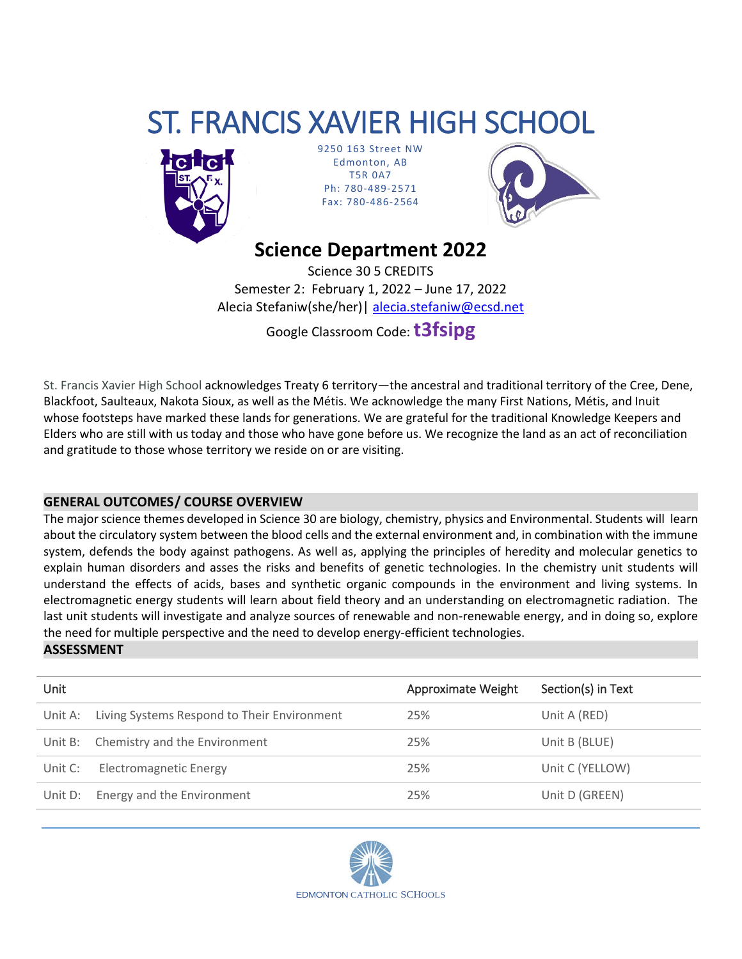# ST. FRANCIS XAVIER HIGH SCHOOL



9250 163 Street NW Edmonton, AB T5R 0A7 Ph: 780-489-2571 Fax: 780-486-2564



# **Science Department 2022**

Science 30 5 CREDITS Semester 2: February 1, 2022 – June 17, 2022 Alecia Stefaniw(she/her) | [alecia.stefaniw@ecsd.net](mailto:Jaiden.Fagrie@ecsd.net)

Google Classroom Code:**t3fsipg**

St. Francis Xavier High School acknowledges Treaty 6 territory—the ancestral and traditional territory of the Cree, Dene, Blackfoot, Saulteaux, Nakota Sioux, as well as the Métis. We acknowledge the many First Nations, Métis, and Inuit whose footsteps have marked these lands for generations. We are grateful for the traditional Knowledge Keepers and Elders who are still with us today and those who have gone before us. We recognize the land as an act of reconciliation and gratitude to those whose territory we reside on or are visiting.

## **GENERAL OUTCOMES/ COURSE OVERVIEW**

The major science themes developed in Science 30 are biology, chemistry, physics and Environmental. Students will learn about the circulatory system between the blood cells and the external environment and, in combination with the immune system, defends the body against pathogens. As well as, applying the principles of heredity and molecular genetics to explain human disorders and asses the risks and benefits of genetic technologies. In the chemistry unit students will understand the effects of acids, bases and synthetic organic compounds in the environment and living systems. In electromagnetic energy students will learn about field theory and an understanding on electromagnetic radiation. The last unit students will investigate and analyze sources of renewable and non-renewable energy, and in doing so, explore the need for multiple perspective and the need to develop energy-efficient technologies.

#### **ASSESSMENT**

| Unit    |                                             | Approximate Weight | Section(s) in Text |
|---------|---------------------------------------------|--------------------|--------------------|
| Unit A: | Living Systems Respond to Their Environment | 25%                | Unit A (RED)       |
| Unit B: | Chemistry and the Environment               | 25%                | Unit B (BLUE)      |
| Unit C: | <b>Electromagnetic Energy</b>               | 25%                | Unit C (YELLOW)    |
| Unit D: | Energy and the Environment                  | 25%                | Unit D (GREEN)     |

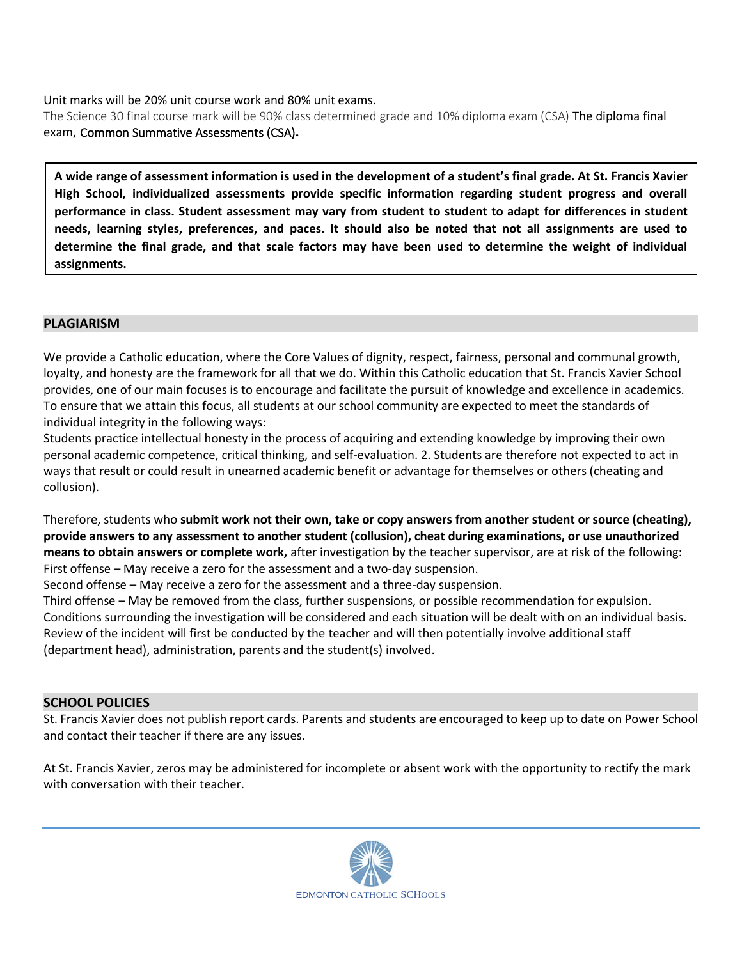Unit marks will be 20% unit course work and 80% unit exams.

The Science 30 final course mark will be 90% class determined grade and 10% diploma exam (CSA) The diploma final exam, Common Summative Assessments (CSA)**.**

**A wide range of assessment information is used in the development of a student's final grade. At St. Francis Xavier High School, individualized assessments provide specific information regarding student progress and overall performance in class. Student assessment may vary from student to student to adapt for differences in student needs, learning styles, preferences, and paces. It should also be noted that not all assignments are used to determine the final grade, and that scale factors may have been used to determine the weight of individual assignments.**

### **PLAGIARISM**

We provide a Catholic education, where the Core Values of dignity, respect, fairness, personal and communal growth, loyalty, and honesty are the framework for all that we do. Within this Catholic education that St. Francis Xavier School provides, one of our main focuses is to encourage and facilitate the pursuit of knowledge and excellence in academics. To ensure that we attain this focus, all students at our school community are expected to meet the standards of individual integrity in the following ways:

Students practice intellectual honesty in the process of acquiring and extending knowledge by improving their own personal academic competence, critical thinking, and self-evaluation. 2. Students are therefore not expected to act in ways that result or could result in unearned academic benefit or advantage for themselves or others (cheating and collusion).

Therefore, students who **submit work not their own, take or copy answers from another student or source (cheating), provide answers to any assessment to another student (collusion), cheat during examinations, or use unauthorized means to obtain answers or complete work,** after investigation by the teacher supervisor, are at risk of the following: First offense – May receive a zero for the assessment and a two-day suspension.

Second offense – May receive a zero for the assessment and a three-day suspension.

Third offense – May be removed from the class, further suspensions, or possible recommendation for expulsion. Conditions surrounding the investigation will be considered and each situation will be dealt with on an individual basis. Review of the incident will first be conducted by the teacher and will then potentially involve additional staff (department head), administration, parents and the student(s) involved.

#### **SCHOOL POLICIES**

St. Francis Xavier does not publish report cards. Parents and students are encouraged to keep up to date on Power School and contact their teacher if there are any issues.

At St. Francis Xavier, zeros may be administered for incomplete or absent work with the opportunity to rectify the mark with conversation with their teacher.